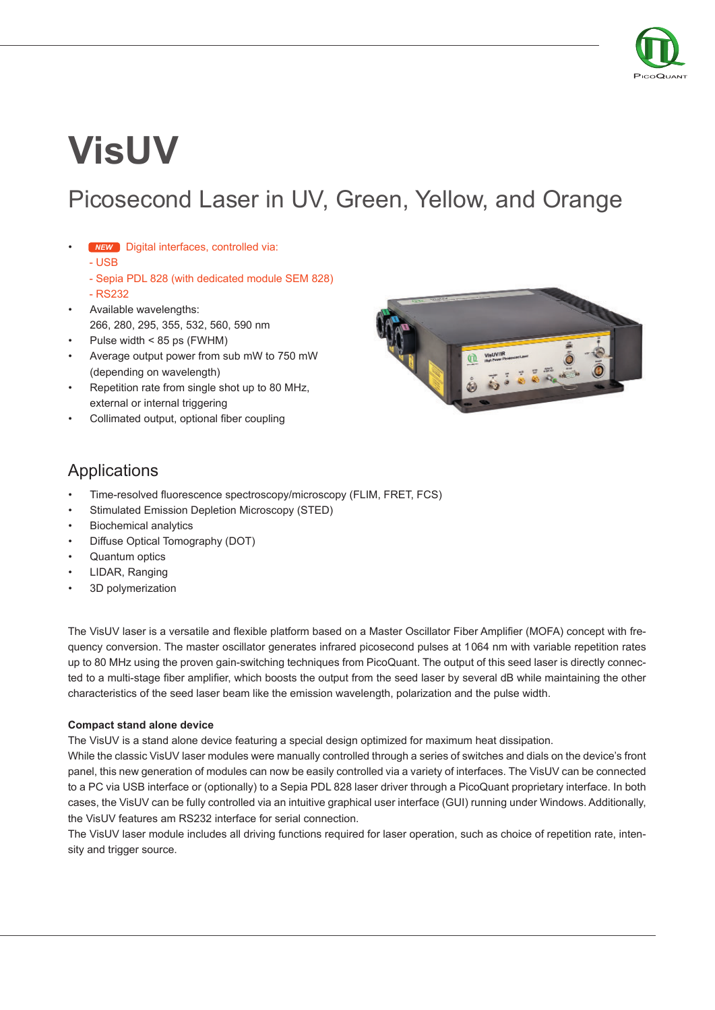

# **VisUV**

# Picosecond Laser in UV, Green, Yellow, and Orange

- Digital interfaces, controlled via: *NEW*
	- USB
	- Sepia PDL 828 (with dedicated module SEM 828)
	- RS232
- Available wavelengths: 266, 280, 295, 355, 532, 560, 590 nm
- Pulse width < 85 ps (FWHM)
- Average output power from sub mW to 750 mW (depending on wavelength)
- Repetition rate from single shot up to 80 MHz, external or internal triggering
- Collimated output, optional fiber coupling



### Applications

- Time-resolved fluorescence spectroscopy/microscopy (FLIM, FRET, FCS)
- Stimulated Emission Depletion Microscopy (STED)
- Biochemical analytics
- Diffuse Optical Tomography (DOT)
- Quantum optics
- LIDAR, Ranging
- 3D polymerization

The VisUV laser is a versatile and flexible platform based on a Master Oscillator Fiber Amplifier (MOFA) concept with frequency conversion. The master oscillator generates infrared picosecond pulses at 1064 nm with variable repetition rates up to 80 MHz using the proven gain-switching techniques from PicoQuant. The output of this seed laser is directly connected to a multi-stage fiber amplifier, which boosts the output from the seed laser by several dB while maintaining the other characteristics of the seed laser beam like the emission wavelength, polarization and the pulse width.

#### **Compact stand alone device**

The VisUV is a stand alone device featuring a special design optimized for maximum heat dissipation.

While the classic VisUV laser modules were manually controlled through a series of switches and dials on the device's front panel, this new generation of modules can now be easily controlled via a variety of interfaces. The VisUV can be connected to a PC via USB interface or (optionally) to a Sepia PDL 828 laser driver through a PicoQuant proprietary interface. In both cases, the VisUV can be fully controlled via an intuitive graphical user interface (GUI) running under Windows. Additionally, the VisUV features am RS232 interface for serial connection.

The VisUV laser module includes all driving functions required for laser operation, such as choice of repetition rate, intensity and trigger source.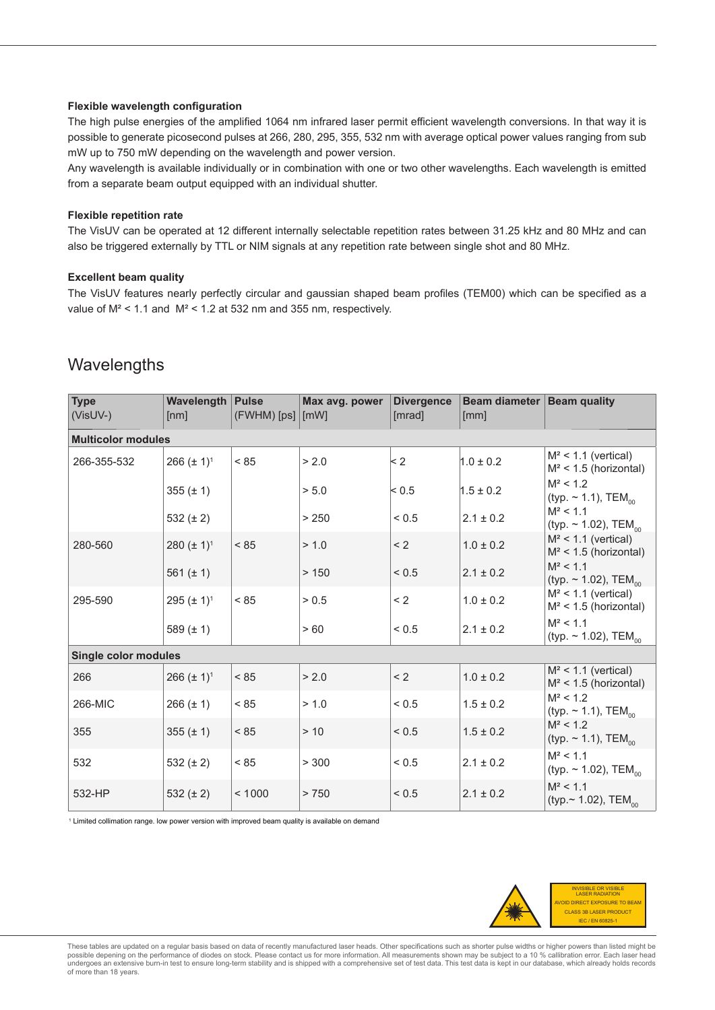#### **Flexible wavelength configuration**

The high pulse energies of the amplified 1064 nm infrared laser permit efficient wavelength conversions. In that way it is possible to generate picosecond pulses at 266, 280, 295, 355, 532 nm with average optical power values ranging from sub mW up to 750 mW depending on the wavelength and power version.

Any wavelength is available individually or in combination with one or two other wavelengths. Each wavelength is emitted from a separate beam output equipped with an individual shutter.

#### **Flexible repetition rate**

The VisUV can be operated at 12 different internally selectable repetition rates between 31.25 kHz and 80 MHz and can also be triggered externally by TTL or NIM signals at any repetition rate between single shot and 80 MHz.

#### **Excellent beam quality**

The VisUV features nearly perfectly circular and gaussian shaped beam profiles (TEM00) which can be specified as a value of M² < 1.1 and M² < 1.2 at 532 nm and 355 nm, respectively.

### **Wavelengths**

| <b>Type</b><br>$(VisUV-)$   | <b>Wavelength   Pulse</b><br>[nm] | $(FWHM)$ [ps] $[mW]$ | Max avg. power | <b>Divergence</b><br>[mrad] | Beam diameter   Beam quality<br>[mm] |                                                      |  |  |
|-----------------------------|-----------------------------------|----------------------|----------------|-----------------------------|--------------------------------------|------------------------------------------------------|--|--|
| <b>Multicolor modules</b>   |                                   |                      |                |                             |                                      |                                                      |  |  |
| 266-355-532                 | 266 $(\pm 1)^1$                   | < 85                 | > 2.0          | $\leq$ 2                    | $1.0 \pm 0.2$                        | $M^2$ < 1.1 (vertical)<br>$M^2$ < 1.5 (horizontal)   |  |  |
|                             | 355 $(\pm 1)$                     |                      | > 5.0          | < 0.5                       | $1.5 \pm 0.2$                        | $M^2$ < 1.2<br>(typ. $\sim$ 1.1), TEM <sub>00</sub>  |  |  |
|                             | 532 $(\pm 2)$                     |                      | > 250          | ${}_{0.5}$                  | $2.1 \pm 0.2$                        | $M^2$ < 1.1<br>(typ. $\sim$ 1.02), TEM <sub>00</sub> |  |  |
| 280-560                     | 280 $(\pm 1)^1$                   | < 85                 | > 1.0          | < 2                         | $1.0 \pm 0.2$                        | $M^2$ < 1.1 (vertical)<br>$M^2$ < 1.5 (horizontal)   |  |  |
|                             | 561 $(\pm 1)$                     |                      | >150           | < 0.5                       | $2.1 \pm 0.2$                        | $M^2$ < 1.1<br>(typ. $\sim$ 1.02), TEM <sub>00</sub> |  |  |
| 295-590                     | $295 (\pm 1)^1$                   | < 85                 | > 0.5          | < 2                         | $1.0 \pm 0.2$                        | $M^2$ < 1.1 (vertical)<br>$M^2$ < 1.5 (horizontal)   |  |  |
|                             | 589 $(\pm 1)$                     |                      | >60            | ${}_{0.5}$                  | $2.1 \pm 0.2$                        | $M^2$ < 1.1<br>(typ. $\sim$ 1.02), TEM <sub>00</sub> |  |  |
| <b>Single color modules</b> |                                   |                      |                |                             |                                      |                                                      |  |  |
| 266                         | 266 $(\pm 1)^1$                   | < 85                 | > 2.0          | < 2                         | $1.0 \pm 0.2$                        | $M^2$ < 1.1 (vertical)<br>$M^2$ < 1.5 (horizontal)   |  |  |
| 266-MIC                     | $266 (\pm 1)$                     | < 85                 | > 1.0          | ${}_{0.5}$                  | $1.5 \pm 0.2$                        | $M^2$ < 1.2<br>(typ. $\sim$ 1.1), TEM <sub>00</sub>  |  |  |
| 355                         | 355 $(\pm 1)$                     | < 85                 | > 10           | ${}_{0.5}$                  | $1.5 \pm 0.2$                        | $M^2$ < 1.2<br>(typ. $\sim$ 1.1), TEM <sub>00</sub>  |  |  |
| 532                         | 532 $(\pm 2)$                     | < 85                 | > 300          | ${}_{0.5}$                  | $2.1 \pm 0.2$                        | $M^2$ < 1.1<br>(typ. $\sim$ 1.02), TEM <sub>00</sub> |  |  |
| 532-HP                      | 532 $(\pm 2)$                     | < 1000               | > 750          | < 0.5                       | $2.1 \pm 0.2$                        | $M^2$ < 1.1<br>(typ.~ 1.02), TEM <sub>00</sub>       |  |  |

1 Limited collimation range. low power version with improved beam quality is available on demand



These tables are updated on a regular basis based on data of recently manufactured laser heads. Other specifications such as shorter pulse widths or higher powers than listed might be possible depening on the performance of diodes on stock. Please contact us for more information. All measurements shown may be subject to a 10 % callibration error. Each laser head<br>undergoes an extensive burn-in test to en of more than 18 years.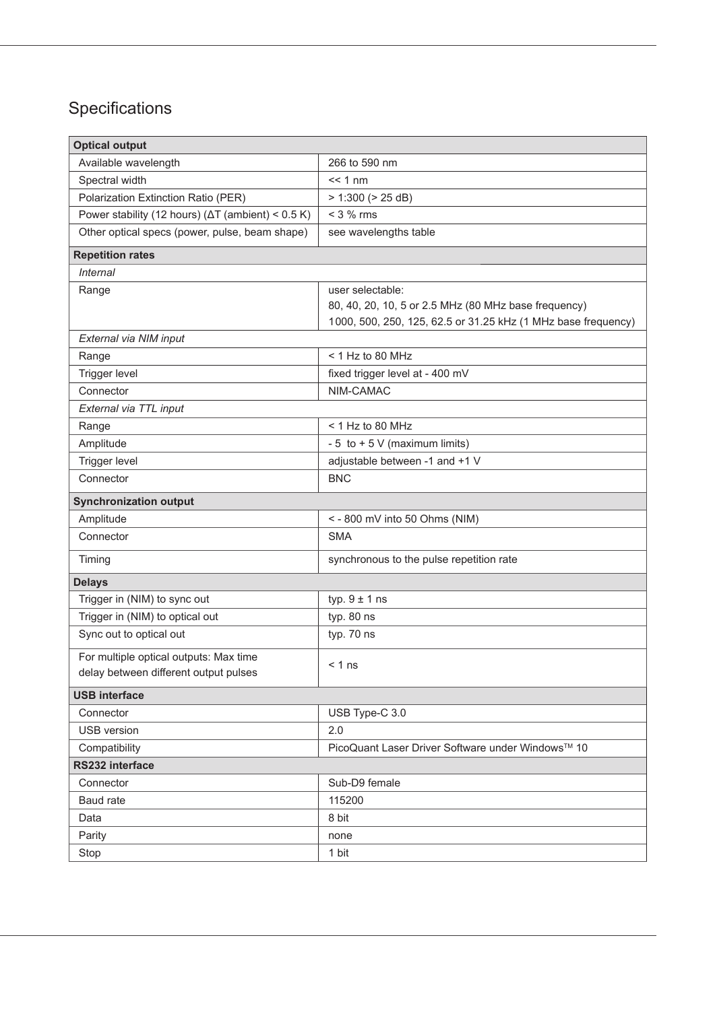## Specifications

| <b>Optical output</b>                                                           |                                                               |  |  |  |  |  |
|---------------------------------------------------------------------------------|---------------------------------------------------------------|--|--|--|--|--|
| Available wavelength                                                            | 266 to 590 nm                                                 |  |  |  |  |  |
| Spectral width                                                                  | $<< 1$ nm                                                     |  |  |  |  |  |
| Polarization Extinction Ratio (PER)                                             | > 1:300 (> 25 dB)                                             |  |  |  |  |  |
| Power stability (12 hours) ( $\Delta T$ (ambient) < 0.5 K)                      | $<$ 3 % rms                                                   |  |  |  |  |  |
| Other optical specs (power, pulse, beam shape)                                  | see wavelengths table                                         |  |  |  |  |  |
| <b>Repetition rates</b>                                                         |                                                               |  |  |  |  |  |
| <b>Internal</b>                                                                 |                                                               |  |  |  |  |  |
| Range                                                                           | user selectable:                                              |  |  |  |  |  |
|                                                                                 | 80, 40, 20, 10, 5 or 2.5 MHz (80 MHz base frequency)          |  |  |  |  |  |
|                                                                                 | 1000, 500, 250, 125, 62.5 or 31.25 kHz (1 MHz base frequency) |  |  |  |  |  |
| External via NIM input                                                          |                                                               |  |  |  |  |  |
| Range                                                                           | < 1 Hz to 80 MHz                                              |  |  |  |  |  |
| Trigger level                                                                   | fixed trigger level at - 400 mV                               |  |  |  |  |  |
| Connector                                                                       | NIM-CAMAC                                                     |  |  |  |  |  |
| External via TTL input                                                          |                                                               |  |  |  |  |  |
| Range                                                                           | < 1 Hz to 80 MHz                                              |  |  |  |  |  |
| Amplitude                                                                       | - 5 to + 5 V (maximum limits)                                 |  |  |  |  |  |
| Trigger level                                                                   | adjustable between -1 and +1 V                                |  |  |  |  |  |
| Connector                                                                       | <b>BNC</b>                                                    |  |  |  |  |  |
| <b>Synchronization output</b>                                                   |                                                               |  |  |  |  |  |
| Amplitude                                                                       | <- 800 mV into 50 Ohms (NIM)                                  |  |  |  |  |  |
| Connector                                                                       | <b>SMA</b>                                                    |  |  |  |  |  |
| Timing                                                                          | synchronous to the pulse repetition rate                      |  |  |  |  |  |
| <b>Delays</b>                                                                   |                                                               |  |  |  |  |  |
| Trigger in (NIM) to sync out                                                    | typ. $9 \pm 1$ ns                                             |  |  |  |  |  |
| Trigger in (NIM) to optical out                                                 | typ. 80 ns                                                    |  |  |  |  |  |
| Sync out to optical out                                                         | typ. 70 ns                                                    |  |  |  |  |  |
| For multiple optical outputs: Max time<br>delay between different output pulses | $< 1$ ns                                                      |  |  |  |  |  |
| <b>USB interface</b>                                                            |                                                               |  |  |  |  |  |
| Connector                                                                       | USB Type-C 3.0                                                |  |  |  |  |  |
| <b>USB</b> version                                                              | 2.0                                                           |  |  |  |  |  |
| Compatibility                                                                   | PicoQuant Laser Driver Software under Windows™ 10             |  |  |  |  |  |
| RS232 interface                                                                 |                                                               |  |  |  |  |  |
| Connector                                                                       | Sub-D9 female                                                 |  |  |  |  |  |
| Baud rate                                                                       | 115200                                                        |  |  |  |  |  |
| Data                                                                            | 8 bit                                                         |  |  |  |  |  |
| Parity                                                                          | none                                                          |  |  |  |  |  |
| Stop                                                                            | 1 bit                                                         |  |  |  |  |  |